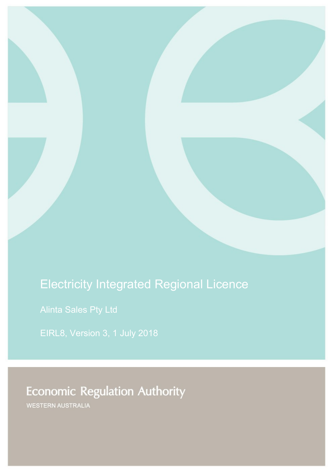# Electricity Integrated Regional Licence

Alinta Sales Pty Ltd

EIRL8, Version 3, 1 July 2018

**Economic Regulation Authority** 

WESTERN AUSTRALIA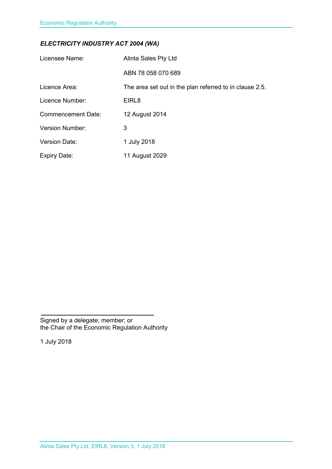# *ELECTRICITY INDUSTRY ACT 2004 (WA)*

| Licensee Name:            | Alinta Sales Pty Ltd                                    |
|---------------------------|---------------------------------------------------------|
|                           | ABN 78 058 070 689                                      |
| Licence Area:             | The area set out in the plan referred to in clause 2.5. |
| Licence Number:           | EIRL <sub>8</sub>                                       |
| <b>Commencement Date:</b> | 12 August 2014                                          |
| <b>Version Number:</b>    | 3                                                       |
| <b>Version Date:</b>      | 1 July 2018                                             |
| <b>Expiry Date:</b>       | 11 August 2029                                          |

Signed by a delegate; member; or the Chair of the Economic Regulation Authority

1 July 2018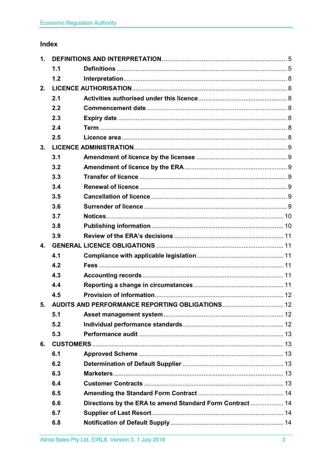# Index

| 1.             |     |                                                           |  |  |
|----------------|-----|-----------------------------------------------------------|--|--|
|                | 1.1 |                                                           |  |  |
|                | 1.2 |                                                           |  |  |
| 2.             |     |                                                           |  |  |
|                | 2.1 |                                                           |  |  |
|                | 2.2 |                                                           |  |  |
|                | 2.3 |                                                           |  |  |
|                | 2.4 |                                                           |  |  |
|                | 2.5 |                                                           |  |  |
| 3.             |     |                                                           |  |  |
|                | 3.1 |                                                           |  |  |
|                | 3.2 |                                                           |  |  |
|                | 3.3 |                                                           |  |  |
|                | 3.4 |                                                           |  |  |
|                | 3.5 |                                                           |  |  |
|                | 3.6 |                                                           |  |  |
|                | 3.7 |                                                           |  |  |
|                | 3.8 |                                                           |  |  |
|                | 3.9 |                                                           |  |  |
| $\mathbf{4}$ . |     |                                                           |  |  |
|                | 4.1 |                                                           |  |  |
|                | 4.2 |                                                           |  |  |
|                | 4.3 |                                                           |  |  |
|                | 4.4 |                                                           |  |  |
|                | 4.5 |                                                           |  |  |
|                |     | 5. AUDITS AND PERFORMANCE REPORTING OBLIGATIONS  12       |  |  |
|                | 5.1 |                                                           |  |  |
|                | 5.2 |                                                           |  |  |
|                | 5.3 |                                                           |  |  |
| 6.             |     |                                                           |  |  |
|                | 6.1 |                                                           |  |  |
|                | 6.2 |                                                           |  |  |
|                | 6.3 |                                                           |  |  |
|                | 6.4 |                                                           |  |  |
|                | 6.5 |                                                           |  |  |
|                | 6.6 | Directions by the ERA to amend Standard Form Contract  14 |  |  |
|                | 6.7 |                                                           |  |  |
|                | 6.8 |                                                           |  |  |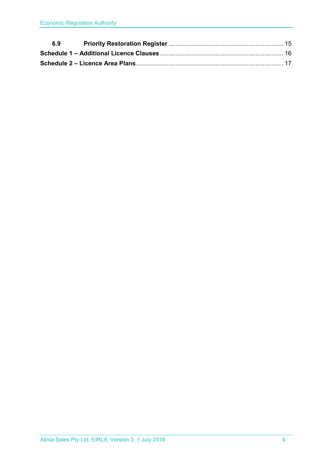| 6.9 |  |
|-----|--|
|     |  |
|     |  |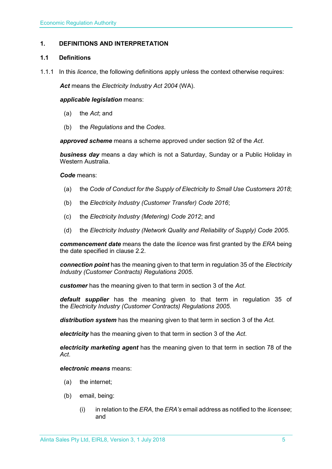# <span id="page-4-0"></span>**1. DEFINITIONS AND INTERPRETATION**

# <span id="page-4-1"></span>**1.1 Definitions**

1.1.1 In this *licence*, the following definitions apply unless the context otherwise requires:

*Act* means the *Electricity Industry Act 2004* (WA).

#### *applicable legislation* means:

- (a) the *Act*; and
- (b) the *Regulations* and the *Codes*.

*approved scheme* means a scheme approved under section 92 of the *Act*.

*business day* means a day which is not a Saturday, Sunday or a Public Holiday in Western Australia.

#### *Code* means:

- (a) the *Code of Conduct for the Supply of Electricity to Small Use Customers 2018*;
- (b) the *Electricity Industry (Customer Transfer) Code 2016*;
- (c) the *Electricity Industry (Metering) Code 2012*; and
- (d) the *Electricity Industry (Network Quality and Reliability of Supply) Code 2005*.

*commencement date* means the date the *licence* was first granted by the *ERA* being the date specified in clause 2.2.

*connection point* has the meaning given to that term in regulation 35 of the *[Electricity](http://www.slp.wa.gov.au/legislation/statutes.nsf/main_mrtitle_1345_homepage.html)  [Industry \(Customer Contracts\) Regulations 2005](http://www.slp.wa.gov.au/legislation/statutes.nsf/main_mrtitle_1345_homepage.html)*.

*customer* has the meaning given to that term in section 3 of the *Act*.

*default supplier* has the meaning given to that term in regulation 35 of the *Electricity [Industry \(Customer Contracts\) Regulations 2005.](http://www.slp.wa.gov.au/legislation/statutes.nsf/main_mrtitle_1345_homepage.html)*

*distribution system* has the meaning given to that term in section 3 of the *Act*.

*electricity* has the meaning given to that term in section 3 of the *Act*.

*electricity marketing agent* has the meaning given to that term in section 78 of the *Act*.

# *electronic means* means:

- (a) the internet;
- (b) email, being:
	- (i) in relation to the *ERA*, the *ERA's* email address as notified to the *licensee*; and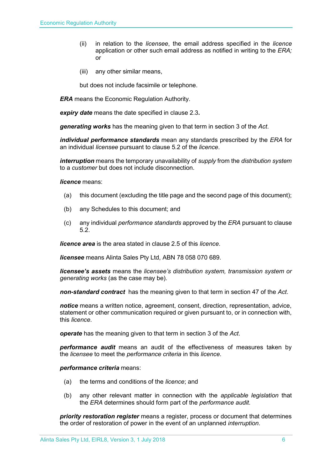- (ii) in relation to the *licensee*, the email address specified in the *licence* application or other such email address as notified in writing to the *ERA;* or
- (iii) any other similar means,

but does not include facsimile or telephone.

*ERA* means the Economic Regulation Authority.

*expiry date* means the date specified in clause 2.3*.*

*generating works* has the meaning given to that term in section 3 of the *Act*.

*individual performance standards* mean any standards prescribed by the *ERA* for an individual *licensee* pursuant to clause 5.2 of the *licence*.

*interruption* means the temporary unavailability of *supply* from the *distribution system* to a *customer* but does not include disconnection.

*licence* means:

- (a) this document (excluding the title page and the second page of this document);
- (b) any Schedules to this document; and
- (c) any individual *performance standards* approved by the *ERA* pursuant to clause 5.2.

*licence area* is the area stated in clause 2.5 of this *licence*.

*licensee* means Alinta Sales Pty Ltd, ABN 78 058 070 689.

*licensee's assets* means the *licensee's distribution system, transmission system or generating works* (as the case may be).

*non-standard contract* has the meaning given to that term in section 47 of the *Act*.

*notice* means a written notice, agreement, consent, direction, representation, advice, statement or other communication required or given pursuant to, or in connection with, this *licence*.

*operate* has the meaning given to that term in section 3 of the *Act*.

*performance audit* means an audit of the effectiveness of measures taken by the *licensee* to meet the *performance criteria* in this *licence*.

*performance criteria* means:

- (a) the terms and conditions of the *licence*; and
- (b) any other relevant matter in connection with the *applicable legislation* that the *ERA* determines should form part of the *performance audit*.

*priority restoration register* means a register, process or document that determines the order of restoration of power in the event of an unplanned *interruption*.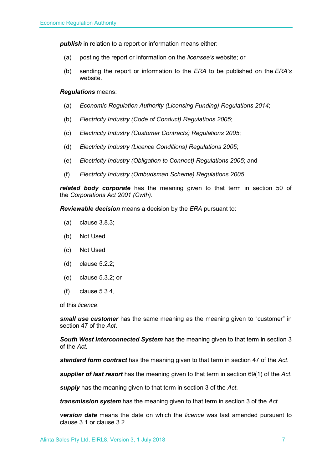**publish** in relation to a report or information means either:

- (a) posting the report or information on the *licensee's* website; or
- (b) sending the report or information to the *ERA* to be published on the *ERA's* website.

#### *Regulations* means:

- (a) *Economic Regulation Authority (Licensing Funding) Regulations 2014*;
- (b) *Electricity Industry (Code of Conduct) Regulations 2005*;
- (c) *Electricity Industry (Customer Contracts) Regulations 2005*;
- (d) *Electricity Industry (Licence Conditions) Regulations 2005*;
- (e) *Electricity Industry (Obligation to Connect) Regulations 2005*; and
- (f) *Electricity Industry (Ombudsman Scheme) Regulations 2005.*

*related body corporate* has the meaning given to that term in section 50 of the *Corporations Act 2001 (Cwth)*.

*Reviewable decision* means a decision by the *ERA* pursuant to:

- (a) clause 3.8.3;
- (b) Not Used
- (c) Not Used
- (d) clause 5.2.2;
- (e) clause 5.3.2; or
- (f) clause 5.3.4,

of this *licence*.

*small use customer* has the same meaning as the meaning given to "customer" in section 47 of the *Act*.

*South West Interconnected System* has the meaning given to that term in section 3 of the *Act.* 

*standard form contract* has the meaning given to that term in section 47 of the *Act*.

*supplier of last resort* has the meaning given to that term in section 69(1) of the *Act*.

*supply* has the meaning given to that term in section 3 of the *Act*.

*transmission system* has the meaning given to that term in section 3 of the *Act*.

*version date* means the date on which the *licence* was last amended pursuant to clause 3.1 or clause 3.2.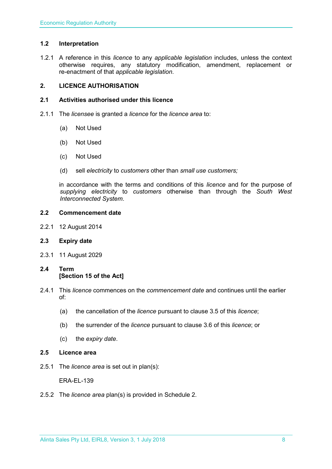# <span id="page-7-0"></span>**1.2 Interpretation**

1.2.1 A reference in this *licence* to any *applicable legislation* includes, unless the context otherwise requires, any statutory modification, amendment, replacement or re-enactment of that *applicable legislation*.

# <span id="page-7-1"></span>**2. LICENCE AUTHORISATION**

# <span id="page-7-2"></span>**2.1 Activities authorised under this licence**

- 2.1.1 The *licensee* is granted a *licence* for the *licence area* to:
	- (a) Not Used
	- (b) Not Used
	- (c) Not Used
	- (d) sell *electricity* to *customers* other than *small use customers;*

in accordance with the terms and conditions of this *licence* and for the purpose of *supplying electricity* to *customers* otherwise than through the *South West Interconnected System*.

#### <span id="page-7-3"></span>**2.2 Commencement date**

2.2.1 12 August 2014

# <span id="page-7-4"></span>**2.3 Expiry date**

- 2.3.1 11 August 2029
- <span id="page-7-5"></span>**2.4 Term [Section 15 of the Act]**
- 2.4.1 This *licence* commences on the *commencement date* and continues until the earlier of:
	- (a) the cancellation of the *licence* pursuant to clause 3.5 of this *licence*;
	- (b) the surrender of the *licence* pursuant to clause 3.6 of this *licence*; or
	- (c) the *expiry date*.
- <span id="page-7-6"></span>**2.5 Licence area**
- 2.5.1 The *licence area* is set out in plan(s):

ERA-EL-139

2.5.2 The *licence area* plan(s) is provided in Schedule 2.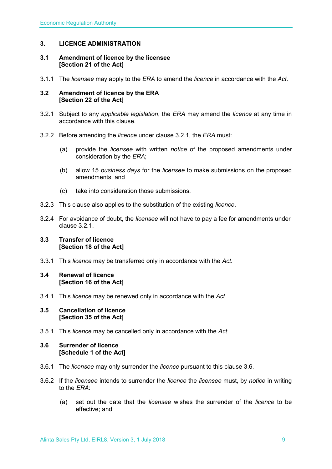# <span id="page-8-0"></span>**3. LICENCE ADMINISTRATION**

#### <span id="page-8-1"></span>**3.1 Amendment of licence by the licensee [Section 21 of the Act]**

3.1.1 The *licensee* may apply to the *ERA* to amend the *licence* in accordance with the *Act.*

#### <span id="page-8-2"></span>**3.2 Amendment of licence by the ERA [Section 22 of the Act]**

- 3.2.1 Subject to any *applicable legislation*, the *ERA* may amend the *licence* at any time in accordance with this clause.
- 3.2.2 Before amending the *licence* under clause 3.2.1, the *ERA* must:
	- (a) provide the *licensee* with written *notice* of the proposed amendments under consideration by the *ERA*;
	- (b) allow 15 *business days* for the *licensee* to make submissions on the proposed amendments; and
	- (c) take into consideration those submissions.
- 3.2.3 This clause also applies to the substitution of the existing *licence*.
- 3.2.4 For avoidance of doubt, the *licensee* will not have to pay a fee for amendments under clause 3.2.1.

#### <span id="page-8-3"></span>**3.3 Transfer of licence [Section 18 of the Act]**

3.3.1 This *licence* may be transferred only in accordance with the *Act.*

# <span id="page-8-4"></span>**3.4 Renewal of licence [Section 16 of the Act]**

3.4.1 This *licence* may be renewed only in accordance with the *Act*.

#### <span id="page-8-5"></span>**3.5 Cancellation of licence [Section 35 of the Act]**

3.5.1 This *licence* may be cancelled only in accordance with the *Act*.

#### <span id="page-8-6"></span>**3.6 Surrender of licence [Schedule 1 of the Act]**

- 3.6.1 The *licensee* may only surrender the *licence* pursuant to this clause 3.6.
- 3.6.2 If the *licensee* intends to surrender the *licence* the *licensee* must, by *notice* in writing to the *ERA*:
	- (a) set out the date that the *licensee* wishes the surrender of the *licence* to be effective; and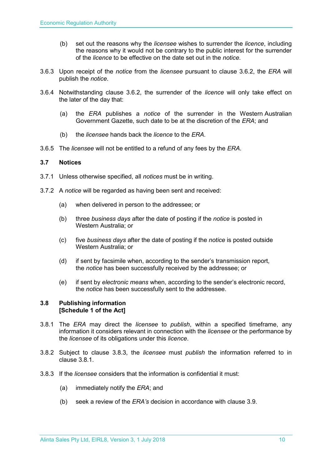- (b) set out the reasons why the *licensee* wishes to surrender the *licence*, including the reasons why it would not be contrary to the public interest for the surrender of the *licence* to be effective on the date set out in the *notice*.
- 3.6.3 Upon receipt of the *notice* from the *licensee* pursuant to clause 3.6.2, the *ERA* will publish the *notice*.
- 3.6.4 Notwithstanding clause 3.6.2, the surrender of the *licence* will only take effect on the later of the day that:
	- (a) the *ERA* publishes a *notice* of the surrender in the Western Australian Government Gazette, such date to be at the discretion of the *ERA*; and
	- (b) the *licensee* hands back the *licence* to the *ERA*.
- 3.6.5 The *licensee* will not be entitled to a refund of any fees by the *ERA*.

# <span id="page-9-0"></span>**3.7 Notices**

- 3.7.1 Unless otherwise specified, all *notices* must be in writing.
- 3.7.2 A *notice* will be regarded as having been sent and received:
	- (a) when delivered in person to the addressee; or
	- (b) three *business days* after the date of posting if the *notice* is posted in Western Australia; or
	- (c) five *business days* after the date of posting if the *notice* is posted outside Western Australia; or
	- (d) if sent by facsimile when, according to the sender's transmission report, the *notice* has been successfully received by the addressee; or
	- (e) if sent by *electronic means* when, according to the sender's electronic record, the *notice* has been successfully sent to the addressee.

# <span id="page-9-1"></span>**3.8 Publishing information [Schedule 1 of the Act]**

- 3.8.1 The *ERA* may direct the *licensee* to *publish*, within a specified timeframe, any information it considers relevant in connection with the *licensee* or the performance by the *licensee* of its obligations under this *licence*.
- 3.8.2 Subject to clause 3.8.3, the *licensee* must *publish* the information referred to in clause 3.8.1.
- 3.8.3 If the *licensee* considers that the information is confidential it must:
	- (a) immediately notify the *ERA*; and
	- (b) seek a review of the *ERA's* decision in accordance with clause 3.9.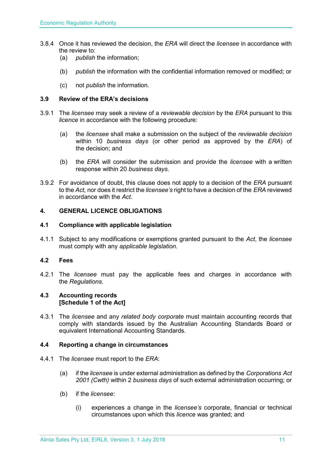- 3.8.4 Once it has reviewed the decision, the *ERA* will direct the *licensee* in accordance with the review to:
	- (a) *publish* the information;
	- (b) *publish* the information with the confidential information removed or modified; or
	- (c) not *publish* the information.

# <span id="page-10-0"></span>**3.9 Review of the ERA's decisions**

- 3.9.1 The *licensee* may seek a review of a *reviewable decision* by the *ERA* pursuant to this *licence* in accordance with the following procedure:
	- (a) the *licensee* shall make a submission on the subject of the *reviewable decision* within 10 *business days* (or other period as approved by the *ERA*) of the decision; and
	- (b) the *ERA* will consider the submission and provide the *licensee* with a written response within 20 *business days*.
- 3.9.2 For avoidance of doubt, this clause does not apply to a decision of the *ERA* pursuant to the *Act*, nor does it restrict the *licensee's* right to have a decision of the *ERA* reviewed in accordance with the *Act*.

# <span id="page-10-1"></span>**4. GENERAL LICENCE OBLIGATIONS**

#### <span id="page-10-2"></span>**4.1 Compliance with applicable legislation**

4.1.1 Subject to any modifications or exemptions granted pursuant to the *Act*, the *licensee* must comply with any *applicable legislation*.

# <span id="page-10-3"></span>**4.2 Fees**

4.2.1 The *licensee* must pay the applicable fees and charges in accordance with the *Regulations*.

#### <span id="page-10-4"></span>**4.3 Accounting records [Schedule 1 of the Act]**

4.3.1 The *licensee* and any *related body corporate* must maintain accounting records that comply with standards issued by the Australian Accounting Standards Board or equivalent International Accounting Standards.

# <span id="page-10-5"></span>**4.4 Reporting a change in circumstances**

- 4.4.1 The *licensee* must report to the *ERA*:
	- (a) if the *licensee* is under external administration as defined by the *Corporations Act 2001 (Cwth)* within 2 *business days* of such external administration occurring; or
	- (b) if the *licensee*:
		- (i) experiences a change in the *licensee's* corporate, financial or technical circumstances upon which this *licence* was granted; and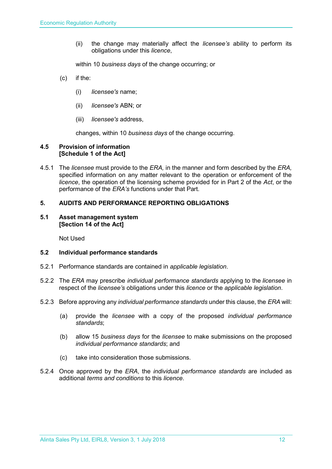(ii) the change may materially affect the *licensee's* ability to perform its obligations under this *licence*,

within 10 *business days* of the change occurring; or

- (c) if the:
	- (i) *licensee's* name;
	- (ii) *licensee's* ABN; or
	- (iii) *licensee's* address,

changes, within 10 *business days* of the change occurring.

#### <span id="page-11-0"></span>**4.5 Provision of information [Schedule 1 of the Act]**

4.5.1 The *licensee* must provide to the *ERA,* in the manner and form described by the *ERA,*  specified information on any matter relevant to the operation or enforcement of the *licence*, the operation of the licensing scheme provided for in Part 2 of the *Act*, or the performance of the *ERA's* functions under that Part.

#### <span id="page-11-1"></span>**5. AUDITS AND PERFORMANCE REPORTING OBLIGATIONS**

#### <span id="page-11-2"></span>**5.1 Asset management system [Section 14 of the Act]**

Not Used

#### <span id="page-11-3"></span>**5.2 Individual performance standards**

- 5.2.1 Performance standards are contained in *applicable legislation*.
- 5.2.2 The *ERA* may prescribe *individual performance standards* applying to the *licensee* in respect of the *licensee's* obligations under this *licence* or the *applicable legislation*.
- 5.2.3 Before approving any *individual performance standards* under this clause, the *ERA* will:
	- (a) provide the *licensee* with a copy of the proposed *individual performance standards*;
	- (b) allow 15 *business days* for the *licensee* to make submissions on the proposed *individual performance standards*; and
	- (c) take into consideration those submissions.
- 5.2.4 Once approved by the *ERA*, the *individual performance standards* are included as additional *terms and conditions* to this *licence*.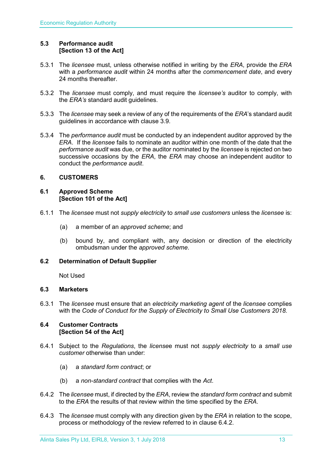# <span id="page-12-0"></span>**5.3 Performance audit [Section 13 of the Act]**

- 5.3.1 The *licensee* must, unless otherwise notified in writing by the *ERA*, provide the *ERA* with a *performance audit* within 24 months after the *commencement date*, and every 24 months thereafter
- 5.3.2 The *licensee* must comply, and must require the *licensee's* auditor to comply, with the *ERA's* standard audit guidelines.
- 5.3.3 The *licensee* may seek a review of any of the requirements of the *ERA*'s standard audit guidelines in accordance with clause 3.9.
- 5.3.4 The *performance audit* must be conducted by an independent auditor approved by the *ERA*. If the *licensee* fails to nominate an auditor within one month of the date that the *performance audit* was due, or the auditor nominated by the *licensee* is rejected on two successive occasions by the *ERA*, the *ERA* may choose an independent auditor to conduct the *performance audit*.

# <span id="page-12-1"></span>**6. CUSTOMERS**

#### <span id="page-12-2"></span>**6.1 Approved Scheme [Section 101 of the Act]**

- 6.1.1 The *licensee* must not *supply electricity* to *small use customers* unless the *licensee* is:
	- (a) a member of an *approved scheme*; and
	- (b) bound by, and compliant with, any decision or direction of the electricity ombudsman under the *approved scheme*.

# <span id="page-12-3"></span>**6.2 Determination of Default Supplier**

Not Used

# <span id="page-12-4"></span>**6.3 Marketers**

6.3.1 The *licensee* must ensure that an *electricity marketing agent* of the *licensee* complies with the *Code of Conduct for the Supply of Electricity to Small Use Customers 2018.*

#### <span id="page-12-5"></span>**6.4 Customer Contracts [Section 54 of the Act]**

- 6.4.1 Subject to the *Regulations*, the *license*e must not *supply electricity* to a *small use customer* otherwise than under:
	- (a) a *standard form contract*; or
	- (b) a *non-standard contract* that complies with the *Act*.
- 6.4.2 The *licensee* must, if directed by the *ERA*, review the *standard form contract* and submit to the *ERA* the results of that review within the time specified by the *ERA*.
- 6.4.3 The *licensee* must comply with any direction given by the *ERA* in relation to the scope, process or methodology of the review referred to in clause 6.4.2.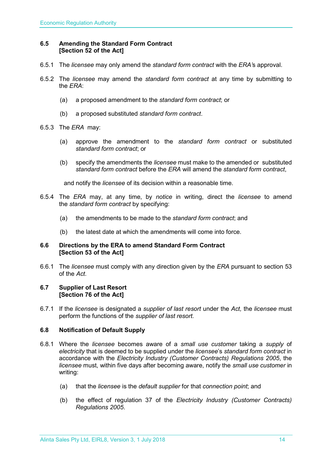# <span id="page-13-0"></span>**6.5 Amending the Standard Form Contract [Section 52 of the Act]**

- 6.5.1 The *licensee* may only amend the *standard form contract* with the *ERA'*s approval.
- 6.5.2 The *licensee* may amend the *standard form contract* at any time by submitting to the *ERA*:
	- (a) a proposed amendment to the *standard form contract*; or
	- (b) a proposed substituted *standard form contract*.
- 6.5.3 The *ERA* may:
	- (a) approve the amendment to the *standard form contract* or substituted *standard form contract*; or
	- (b) specify the amendments the *licensee* must make to the amended or substituted *standard form contract* before the *ERA* will amend the *standard form contract*,

and notify the *licensee* of its decision within a reasonable time.

- 6.5.4 The *ERA* may, at any time, by *notice* in writing, direct the *licensee* to amend the *standard form contract* by specifying:
	- (a) the amendments to be made to the *standard form contract*; and
	- (b) the latest date at which the amendments will come into force.

#### <span id="page-13-1"></span>**6.6 Directions by the ERA to amend Standard Form Contract [Section 53 of the Act]**

6.6.1 The *licensee* must comply with any direction given by the *ERA* pursuant to section 53 of the *Act.* 

#### <span id="page-13-2"></span>**6.7 Supplier of Last Resort [Section 76 of the Act]**

6.7.1 If the *licensee* is designated a *supplier of last resort* under the *Act,* the *licensee* must perform the functions of the *supplier of last resort.* 

# <span id="page-13-3"></span>**6.8 Notification of Default Supply**

- 6.8.1 Where the *licensee* becomes aware of a *small use customer* taking a *supply* of *electricity* that is deemed to be supplied under the *licensee*'s *standard form contract* in accordance with the *[Electricity Industry \(Customer Contracts\)](http://www.slp.wa.gov.au/legislation/statutes.nsf/main_mrtitle_1345_homepage.html) Regulations 2005*, the *licensee* must, within five days after becoming aware, notify the *small use customer* in writing:
	- (a) that the *licensee* is the *default supplier* for that *connection point*; and
	- (b) the effect of regulation 37 of the *[Electricity Industry \(Customer Contracts\)](http://www.slp.wa.gov.au/legislation/statutes.nsf/main_mrtitle_1345_homepage.html)  [Regulations 2005](http://www.slp.wa.gov.au/legislation/statutes.nsf/main_mrtitle_1345_homepage.html)*.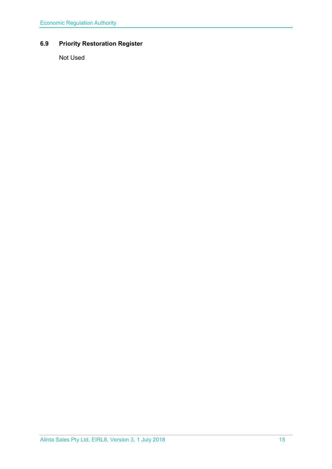# <span id="page-14-0"></span>**6.9 Priority Restoration Register**

Not Used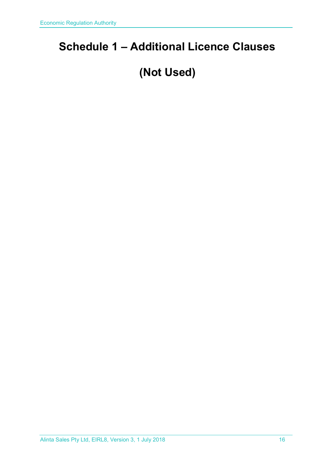# <span id="page-15-0"></span>**Schedule 1 – Additional Licence Clauses**

# **(Not Used)**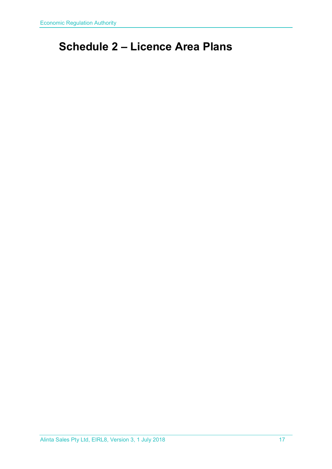# <span id="page-16-0"></span>**Schedule 2 – Licence Area Plans**